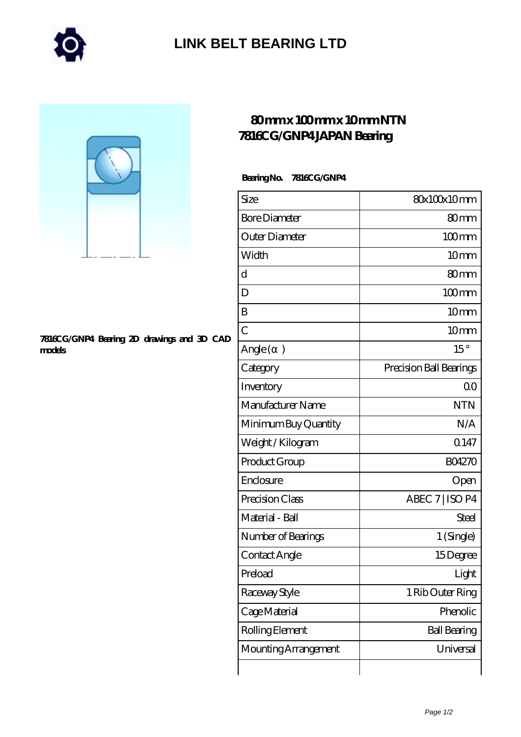

## **[LINK BELT BEARING LTD](https://merionartblog.com)**



#### **[7816CG/GNP4 Bearing 2D drawings and 3D CAD](https://merionartblog.com/pic-250430.html) [models](https://merionartblog.com/pic-250430.html)**

### **[80 mm x 100 mm x 10 mm NTN](https://merionartblog.com/aw-250430-ntn-7816cg-gnp4-japan-bearing.html) [7816CG/GNP4 JAPAN Bearing](https://merionartblog.com/aw-250430-ntn-7816cg-gnp4-japan-bearing.html)**

### **Bearing No. 7816CG/GNP4**

| Size                 | 80x100x10mm             |
|----------------------|-------------------------|
| <b>Bore Diameter</b> | 80 <sub>mm</sub>        |
| Outer Diameter       | $100$ <sub>mm</sub>     |
| Width                | 10mm                    |
| d                    | 80 <sub>mm</sub>        |
| D                    | $100$ mm                |
| B                    | 10 <sub>mm</sub>        |
| $\overline{C}$       | 10 <sub>mm</sub>        |
| Angle (<br>$\big)$   | $15^{\circ}$            |
| Category             | Precision Ball Bearings |
| Inventory            | 0 <sup>0</sup>          |
| Manufacturer Name    | <b>NTN</b>              |
| Minimum Buy Quantity | N/A                     |
| Weight / Kilogram    | Q147                    |
| Product Group        | <b>BO4270</b>           |
| Enclosure            | Open                    |
| Precision Class      | ABEC 7   ISO P4         |
| Material - Ball      | Steel                   |
| Number of Bearings   | 1 (Single)              |
| Contact Angle        | 15Degree                |
| Preload              | Light                   |
| Raceway Style        | 1 Rib Outer Ring        |
| Cage Material        | Phenolic                |
| Rolling Element      | <b>Ball Bearing</b>     |
| Mounting Arrangement | Universal               |
|                      |                         |